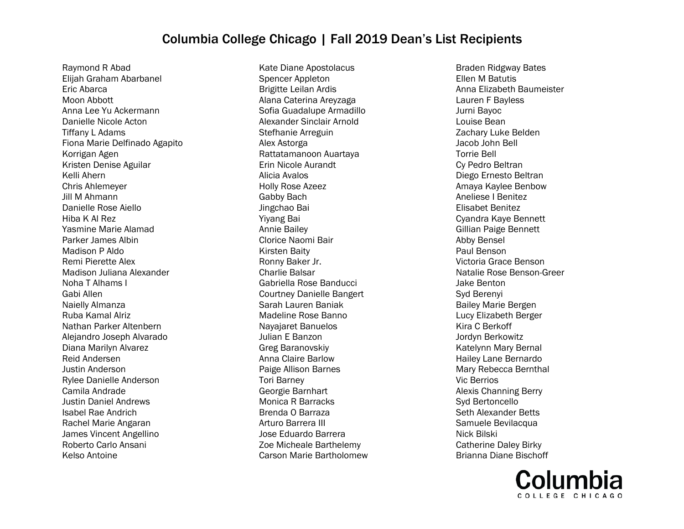Raymond R Abad Elijah Graham Abarbanel Eric Abarca Moon Abbott Anna Lee Yu Ackermann Danielle Nicole Acton Tiffany L Adams Fiona Marie Delfinado Agapito Korrigan Agen Kristen Denise Aguilar Kelli Ahern Chris Ahlemeyer Jill M Ahmann Danielle Rose Aiello Hiba K Al Rez Yasmine Marie Alamad Parker James Albin Madison P Aldo Remi Pierette Alex Madison Juliana Alexander Noha T Alhams I Gabi Allen Naielly Almanza Ruba Kamal Alriz Nathan Parker Altenbern Alejandro Joseph Alvarado Diana Marilyn Alvarez Reid Andersen Justin Anderson Rylee Danielle Anderson Camila Andrade Justin Daniel Andrews Isabel Rae Andrich Rachel Marie Angaran James Vincent Angellino Roberto Carlo Ansani Kelso Antoine

Kate Diane Apostolacus Spencer Appleton Brigitte Leilan Ardis Alana Caterina Areyzaga Sofia Guadalupe Armadillo Alexander Sinclair Arnold Stefhanie Arreguin Alex Astorga Rattatamanoon Auartaya Erin Nicole Aurandt Alicia Avalos Holly Rose Azeez Gabby Bach Jingchao Bai Yiyang Bai Annie Bailey Clorice Naomi Bair Kirsten Baity Ronny Baker Jr. Charlie Balsar Gabriella Rose Banducci Courtney Danielle Bangert Sarah Lauren Baniak Madeline Rose Banno Nayajaret Banuelos Julian E Banzon Greg Baranovskiy Anna Claire Barlow Paige Allison Barnes Tori Barney Georgie Barnhart Monica R Barracks Brenda O Barraza Arturo Barrera III Jose Eduardo Barrera Zoe Micheale Barthelemy Carson Marie Bartholomew

Braden Ridgway Bates Ellen M Batutis Anna Elizabeth Baumeister Lauren F Bayless Jurni Bayoc Louise Bean Zachary Luke Belden Jacob John Bell Torrie Bell Cy Pedro Beltran Diego Ernesto Beltran Amaya Kaylee Benbow Aneliese I Benitez Elisabet Benitez Cyandra Kaye Bennett Gillian Paige Bennett Abby Bensel Paul Benson Victoria Grace Benson Natalie Rose Benson-Greer Jake Benton Syd Berenyi Bailey Marie Bergen Lucy Elizabeth Berger Kira C Berkoff Jordyn Berkowitz Katelynn Mary Bernal Hailey Lane Bernardo Mary Rebecca Bernthal Vic Berrios Alexis Channing Berry Syd Bertoncello Seth Alexander Betts Samuele Bevilacqua Nick Bilski Catherine Daley Birky Brianna Diane Bischoff

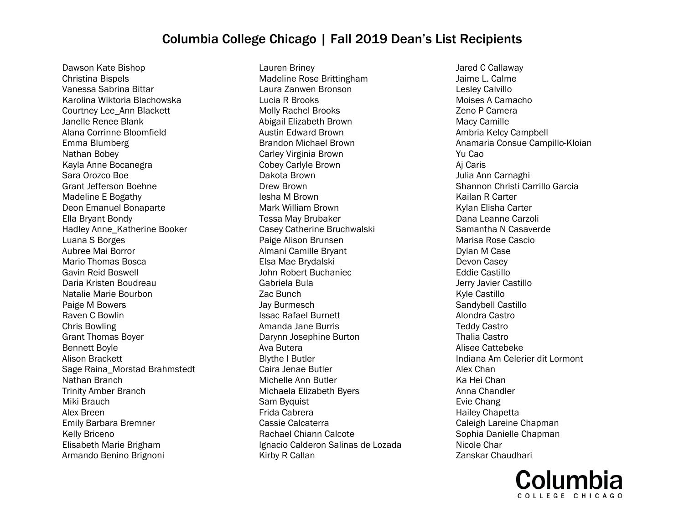Dawson Kate Bishop Christina Bispels Vanessa Sabrina Bittar Karolina Wiktoria Blachowska Courtney Lee\_Ann Blackett Janelle Renee Blank Alana Corrinne Bloomfield Emma Blumberg Nathan Bobey Kayla Anne Bocanegra Sara Orozco Boe Grant Jefferson Boehne Madeline E Bogathy Deon Emanuel Bonaparte Ella Bryant Bondy Hadley Anne\_Katherine Booker Luana S Borges Aubree Mai Borror Mario Thomas Bosca Gavin Reid Boswell Daria Kristen Boudreau Natalie Marie Bourbon Paige M Bowers Raven C Bowlin Chris Bowling Grant Thomas Boyer Bennett Boyle Alison Brackett Sage Raina\_Morstad Brahmstedt Nathan Branch Trinity Amber Branch Miki Brauch Alex Breen Emily Barbara Bremner Kelly Briceno Elisabeth Marie Brigham Armando Benino Brignoni

Lauren Briney Madeline Rose Brittingham Laura Zanwen Bronson Lucia R Brooks Molly Rachel Brooks Abigail Elizabeth Brown Austin Edward Brown Brandon Michael Brown Carley Virginia Brown Cobey Carlyle Brown Dakota Brown Drew Brown Iesha M Brown Mark William Brown Tessa May Brubaker Casey Catherine Bruchwalski Paige Alison Brunsen Almani Camille Bryant Elsa Mae Brydalski John Robert Buchaniec Gabriela Bula Zac Bunch Jay Burmesch Issac Rafael Burnett Amanda Jane Burris Darynn Josephine Burton Ava Butera Blythe I Butler Caira Jenae Butler Michelle Ann Butler Michaela Elizabeth Byers Sam Byquist Frida Cabrera Cassie Calcaterra Rachael Chiann Calcote Ignacio Calderon Salinas de Lozada Kirby R Callan

Jared C Callaway Jaime L. Calme Lesley Calvillo Moises A Camacho Zeno P Camera Macy Camille Ambria Kelcy Campbell Anamaria Consue Campillo-Kloian Yu Cao Aj Caris Julia Ann Carnaghi Shannon Christi Carrillo Garcia Kailan R Carter Kylan Elisha Carter Dana Leanne Carzoli Samantha N Casaverde Marisa Rose Cascio Dylan M Case Devon Casey Eddie Castillo Jerry Javier Castillo Kyle Castillo Sandybell Castillo Alondra Castro Teddy Castro Thalia Castro Alisee Cattebeke Indiana Am Celerier dit Lormont Alex Chan Ka Hei Chan Anna Chandler Evie Chang Hailey Chapetta Caleigh Lareine Chapman Sophia Danielle Chapman Nicole Char Zanskar Chaudhari

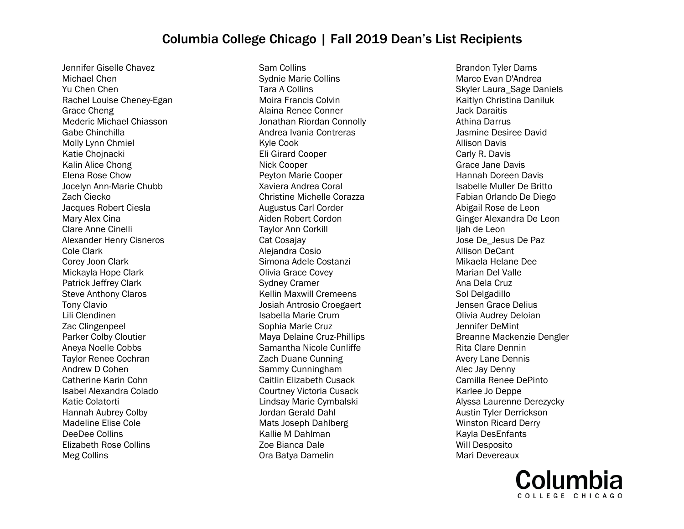Jennifer Giselle Chavez Michael Chen Yu Chen Chen Rachel Louise Cheney-Egan Grace Cheng Mederic Michael Chiasson Gabe Chinchilla Molly Lynn Chmiel Katie Chojnacki Kalin Alice Chong Elena Rose Chow Jocelyn Ann-Marie Chubb Zach Ciecko Jacques Robert Ciesla Mary Alex Cina Clare Anne Cinelli Alexander Henry Cisneros Cole Clark Corey Joon Clark Mickayla Hope Clark Patrick Jeffrey Clark Steve Anthony Claros Tony Clavio Lili Clendinen Zac Clingenpeel Parker Colby Cloutier Aneya Noelle Cobbs Taylor Renee Cochran Andrew D Cohen Catherine Karin Cohn Isabel Alexandra Colado Katie Colatorti Hannah Aubrey Colby Madeline Elise Cole DeeDee Collins Elizabeth Rose Collins Meg Collins

Sam Collins Sydnie Marie Collins Tara A Collins Moira Francis Colvin Alaina Renee Conner Jonathan Riordan Connolly Andrea Ivania Contreras Kyle Cook Eli Girard Cooper Nick Cooper Peyton Marie Cooper Xaviera Andrea Coral Christine Michelle Corazza Augustus Carl Corder Aiden Robert Cordon Taylor Ann Corkill Cat Cosajay Alejandra Cosio Simona Adele Costanzi Olivia Grace Covey Sydney Cramer Kellin Maxwill Cremeens Josiah Antrosio Croegaert Isabella Marie Crum Sophia Marie Cruz Maya Delaine Cruz-Phillips Samantha Nicole Cunliffe Zach Duane Cunning Sammy Cunningham Caitlin Elizabeth Cusack Courtney Victoria Cusack Lindsay Marie Cymbalski Jordan Gerald Dahl Mats Joseph Dahlberg Kallie M Dahlman Zoe Bianca Dale Ora Batya Damelin

Brandon Tyler Dams Marco Evan D'Andrea Skyler Laura\_Sage Daniels Kaitlyn Christina Daniluk Jack Daraitis Athina Darrus Jasmine Desiree David Allison Davis Carly R. Davis Grace Jane Davis Hannah Doreen Davis Isabelle Muller De Britto Fabian Orlando De Diego Abigail Rose de Leon Ginger Alexandra De Leon liah de Leon Jose De\_Jesus De Paz Allison DeCant Mikaela Helane Dee Marian Del Valle Ana Dela Cruz Sol Delgadillo Jensen Grace Delius Olivia Audrey Deloian Jennifer DeMint Breanne Mackenzie Dengler Rita Clare Dennin Avery Lane Dennis Alec Jay Denny Camilla Renee DePinto Karlee Jo Deppe Alyssa Laurenne Derezycky Austin Tyler Derrickson Winston Ricard Derry Kayla DesEnfants Will Desposito Mari Devereaux

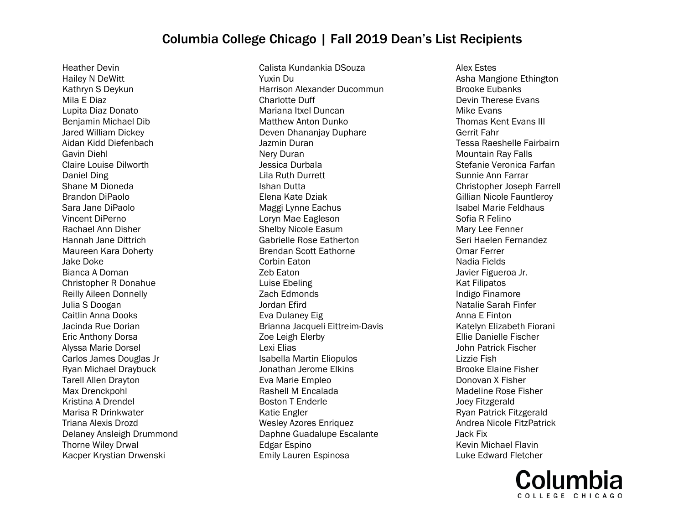Heather Devin Hailey N DeWitt Kathryn S Deykun Mila E Diaz Lupita Diaz Donato Benjamin Michael Dib Jared William Dickey Aidan Kidd Diefenbach Gavin Diehl Claire Louise Dilworth Daniel Ding Shane M Dioneda Brandon DiPaolo Sara Jane DiPaolo Vincent DiPerno Rachael Ann Disher Hannah Jane Dittrich Maureen Kara Doherty Jake Doke Bianca A Doman Christopher R Donahue Reilly Aileen Donnelly Julia S Doogan Caitlin Anna Dooks Jacinda Rue Dorian Eric Anthony Dorsa Alyssa Marie Dorsel Carlos James Douglas Jr Ryan Michael Draybuck Tarell Allen Drayton Max Drenckpohl Kristina A Drendel Marisa R Drinkwater Triana Alexis Drozd Delaney Ansleigh Drummond Thorne Wiley Drwal Kacper Krystian Drwenski

Calista Kundankia DSouza Yuxin Du Harrison Alexander Ducommun Charlotte Duff Mariana Itxel Duncan Matthew Anton Dunko Deven Dhananjay Duphare Jazmin Duran Nery Duran Jessica Durbala Lila Ruth Durrett Ishan Dutta Elena Kate Dziak Maggi Lynne Eachus Loryn Mae Eagleson Shelby Nicole Easum Gabrielle Rose Eatherton Brendan Scott Eathorne Corbin Eaton Zeb Eaton Luise Ebeling Zach Edmonds Jordan Efird Eva Dulaney Eig Brianna Jacqueli Eittreim-Davis Zoe Leigh Elerby Lexi Elias Isabella Martin Eliopulos Jonathan Jerome Elkins Eva Marie Empleo Rashell M Encalada Boston T Enderle Katie Engler Wesley Azores Enriquez Daphne Guadalupe Escalante Edgar Espino Emily Lauren Espinosa

Alex Estes Asha Mangione Ethington Brooke Eubanks Devin Therese Evans Mike Evans Thomas Kent Evans III Gerrit Fahr Tessa Raeshelle Fairbairn Mountain Ray Falls Stefanie Veronica Farfan Sunnie Ann Farrar Christopher Joseph Farrell Gillian Nicole Fauntleroy Isabel Marie Feldhaus Sofia R Felino Mary Lee Fenner Seri Haelen Fernandez Omar Ferrer Nadia Fields Javier Figueroa Jr. Kat Filipatos Indigo Finamore Natalie Sarah Finfer Anna E Finton Katelyn Elizabeth Fiorani Ellie Danielle Fischer John Patrick Fischer Lizzie Fish Brooke Elaine Fisher Donovan X Fisher Madeline Rose Fisher Joey Fitzgerald Ryan Patrick Fitzgerald Andrea Nicole FitzPatrick Jack Fix Kevin Michael Flavin Luke Edward Fletcher

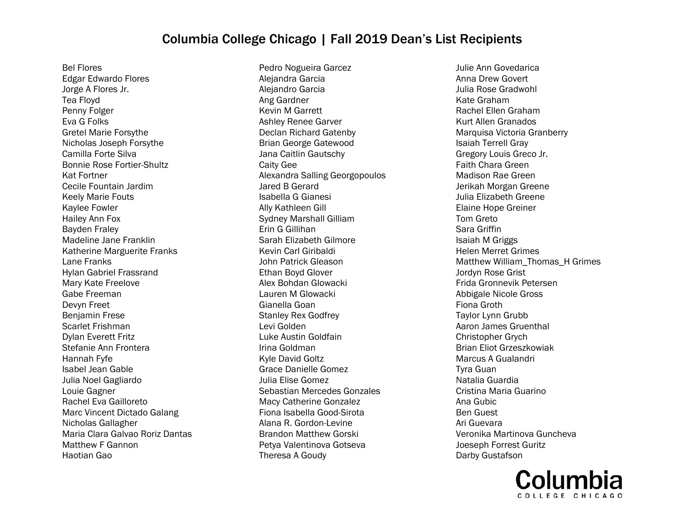Bel Flores Edgar Edwardo Flores Jorge A Flores Jr. Tea Floyd Penny Folger Eva G Folks Gretel Marie Forsythe Nicholas Joseph Forsythe Camilla Forte Silva Bonnie Rose Fortier-Shultz Kat Fortner Cecile Fountain Jardim Keely Marie Fouts Kaylee Fowler Hailey Ann Fox Bayden Fraley Madeline Jane Franklin Katherine Marguerite Franks Lane Franks Hylan Gabriel Frassrand Mary Kate Freelove Gabe Freeman Devyn Freet Benjamin Frese Scarlet Frishman Dylan Everett Fritz Stefanie Ann Frontera Hannah Fyfe Isabel Jean Gable Julia Noel Gagliardo Louie Gagner Rachel Eva Gailloreto Marc Vincent Dictado Galang Nicholas Gallagher Maria Clara Galvao Roriz Dantas Matthew F Gannon Haotian Gao

Pedro Nogueira Garcez Alejandra Garcia Alejandro Garcia Ang Gardner Kevin M Garrett Ashley Renee Garver Declan Richard Gatenby Brian George Gatewood Jana Caitlin Gautschy Caity Gee Alexandra Salling Georgopoulos Jared B Gerard Isabella G Gianesi Ally Kathleen Gill Sydney Marshall Gilliam Erin G Gillihan Sarah Elizabeth Gilmore Kevin Carl Giribaldi John Patrick Gleason Ethan Boyd Glover Alex Bohdan Glowacki Lauren M Glowacki Gianella Goan Stanley Rex Godfrey Levi Golden Luke Austin Goldfain Irina Goldman Kyle David Goltz Grace Danielle Gomez Julia Elise Gomez Sebastian Mercedes Gonzales Macy Catherine Gonzalez Fiona Isabella Good-Sirota Alana R. Gordon-Levine Brandon Matthew Gorski Petya Valentinova Gotseva Theresa A Goudy

Julie Ann Govedarica Anna Drew Govert Julia Rose Gradwohl Kate Graham Rachel Ellen Graham Kurt Allen Granados Marquisa Victoria Granberry Isaiah Terrell Gray Gregory Louis Greco Jr. Faith Chara Green Madison Rae Green Jerikah Morgan Greene Julia Elizabeth Greene Elaine Hope Greiner Tom Greto Sara Griffin Isaiah M Griggs Helen Merret Grimes Matthew William\_Thomas\_H Grimes Jordyn Rose Grist Frida Gronnevik Petersen Abbigale Nicole Gross Fiona Groth Taylor Lynn Grubb Aaron James Gruenthal Christopher Grych Brian Eliot Grzeszkowiak Marcus A Gualandri Tyra Guan Natalia Guardia Cristina Maria Guarino Ana Gubic Ben Guest Ari Guevara Veronika Martinova Guncheva Joeseph Forrest Guritz Darby Gustafson

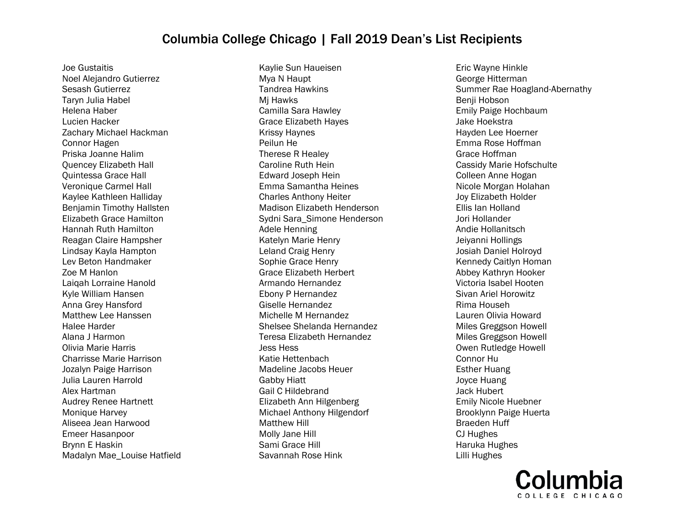Joe Gustaitis Noel Alejandro Gutierrez Sesash Gutierrez Taryn Julia Habel Helena Haber Lucien Hacker Zachary Michael Hackman Connor Hagen Priska Joanne Halim Quencey Elizabeth Hall Quintessa Grace Hall Veronique Carmel Hall Kaylee Kathleen Halliday Benjamin Timothy Hallsten Elizabeth Grace Hamilton Hannah Ruth Hamilton Reagan Claire Hampsher Lindsay Kayla Hampton Lev Beton Handmaker Zoe M Hanlon Laiqah Lorraine Hanold Kyle William Hansen Anna Grey Hansford Matthew Lee Hanssen Halee Harder Alana J Harmon Olivia Marie Harris Charrisse Marie Harrison Jozalyn Paige Harrison Julia Lauren Harrold Alex Hartman Audrey Renee Hartnett Monique Harvey Aliseea Jean Harwood Emeer Hasanpoor Brynn E Haskin Madalyn Mae\_Louise Hatfield

Kaylie Sun Haueisen Mya N Haupt Tandrea Hawkins Mj Hawks Camilla Sara Hawley Grace Elizabeth Hayes Krissy Haynes Peilun He Therese R Healey Caroline Ruth Hein Edward Joseph Hein Emma Samantha Heines Charles Anthony Heiter Madison Elizabeth Henderson Sydni Sara\_Simone Henderson Adele Henning Katelyn Marie Henry Leland Craig Henry Sophie Grace Henry Grace Elizabeth Herbert Armando Hernandez Ebony P Hernandez Giselle Hernandez Michelle M Hernandez Shelsee Shelanda Hernandez Teresa Elizabeth Hernandez Jess Hess Katie Hettenbach Madeline Jacobs Heuer Gabby Hiatt Gail C Hildebrand Elizabeth Ann Hilgenberg Michael Anthony Hilgendorf Matthew Hill Molly Jane Hill Sami Grace Hill Savannah Rose Hink

Eric Wayne Hinkle George Hitterman Summer Rae Hoagland-Abernathy Benii Hobson Emily Paige Hochbaum Jake Hoekstra Hayden Lee Hoerner Emma Rose Hoffman Grace Hoffman Cassidy Marie Hofschulte Colleen Anne Hogan Nicole Morgan Holahan Joy Elizabeth Holder Ellis Ian Holland Jori Hollander Andie Hollanitsch Jeiyanni Hollings Josiah Daniel Holroyd Kennedy Caitlyn Homan Abbey Kathryn Hooker Victoria Isabel Hooten Sivan Ariel Horowitz Rima Househ Lauren Olivia Howard Miles Greggson Howell Miles Greggson Howell Owen Rutledge Howell Connor Hu Esther Huang Joyce Huang Jack Hubert Emily Nicole Huebner Brooklynn Paige Huerta Braeden Huff CJ Hughes Haruka Hughes Lilli Hughes

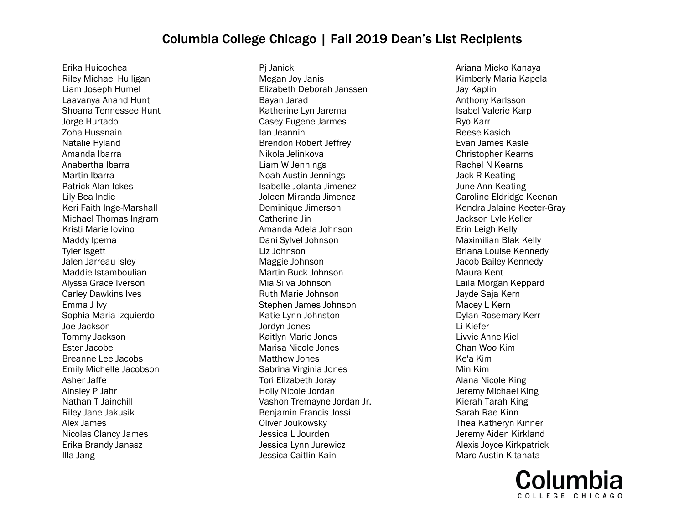Erika Huicochea Riley Michael Hulligan Liam Joseph Humel Laavanya Anand Hunt Shoana Tennessee Hunt Jorge Hurtado Zoha Hussnain Natalie Hyland Amanda Ibarra Anabertha Ibarra Martin Ibarra Patrick Alan Ickes Lily Bea Indie Keri Faith Inge-Marshall Michael Thomas Ingram Kristi Marie Iovino Maddy Ipema Tyler Isgett Jalen Jarreau Isley Maddie Istamboulian Alyssa Grace Iverson Carley Dawkins Ives Emma J Ivy Sophia Maria Izquierdo Joe Jackson Tommy Jackson Ester Jacobe Breanne Lee Jacobs Emily Michelle Jacobson Asher Jaffe Ainsley P Jahr Nathan T Jainchill Riley Jane Jakusik Alex James Nicolas Clancy James Erika Brandy Janasz Illa Jang

Pj Janicki Megan Joy Janis Elizabeth Deborah Janssen Bayan Jarad Katherine Lyn Jarema Casey Eugene Jarmes Ian Jeannin Brendon Robert Jeffrey Nikola Jelinkova Liam W Jennings Noah Austin Jennings Isabelle Jolanta Jimenez Joleen Miranda Jimenez Dominique Jimerson Catherine Jin Amanda Adela Johnson Dani Sylvel Johnson Liz Johnson Maggie Johnson Martin Buck Johnson Mia Silva Johnson Ruth Marie Johnson Stephen James Johnson Katie Lynn Johnston Jordyn Jones Kaitlyn Marie Jones Marisa Nicole Jones Matthew Jones Sabrina Virginia Jones Tori Elizabeth Joray Holly Nicole Jordan Vashon Tremayne Jordan Jr. Benjamin Francis Jossi Oliver Joukowsky Jessica L Jourden Jessica Lynn Jurewicz Jessica Caitlin Kain

Ariana Mieko Kanaya Kimberly Maria Kapela Jay Kaplin Anthony Karlsson Isabel Valerie Karp Ryo Karr Reese Kasich Evan James Kasle Christopher Kearns Rachel N Kearns Jack R Keating June Ann Keating Caroline Eldridge Keenan Kendra Jalaine Keeter-Gray Jackson Lyle Keller Erin Leigh Kelly Maximilian Blak Kelly Briana Louise Kennedy Jacob Bailey Kennedy Maura Kent Laila Morgan Keppard Jayde Saja Kern Macey L Kern Dylan Rosemary Kerr Li Kiefer Livvie Anne Kiel Chan Woo Kim Ke'a Kim Min Kim Alana Nicole King Jeremy Michael King Kierah Tarah King Sarah Rae Kinn Thea Katheryn Kinner Jeremy Aiden Kirkland Alexis Joyce Kirkpatrick Marc Austin Kitahata

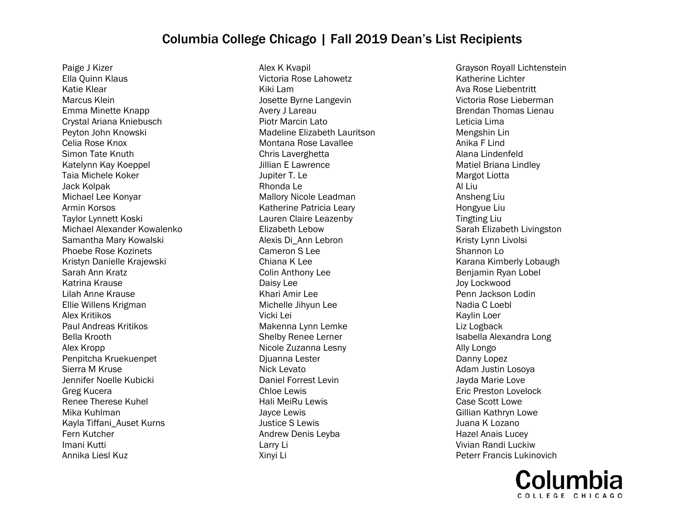Paige J Kizer Ella Quinn Klaus Katie Klear Marcus Klein Emma Minette Knapp Crystal Ariana Kniebusch Peyton John Knowski Celia Rose Knox Simon Tate Knuth Katelynn Kay Koeppel Taia Michele Koker Jack Kolpak Michael Lee Konyar Armin Korsos Taylor Lynnett Koski Michael Alexander Kowalenko Samantha Mary Kowalski Phoebe Rose Kozinets Kristyn Danielle Krajewski Sarah Ann Kratz Katrina Krause Lilah Anne Krause Ellie Willens Krigman Alex Kritikos Paul Andreas Kritikos Bella Krooth Alex Kropp Penpitcha Kruekuenpet Sierra M Kruse Jennifer Noelle Kubicki Greg Kucera Renee Therese Kuhel Mika Kuhlman Kayla Tiffani\_Auset Kurns Fern Kutcher Imani Kutti Annika Liesl Kuz

Alex K Kvapil Victoria Rose Lahowetz Kiki Lam Josette Byrne Langevin Avery J Lareau Piotr Marcin Lato Madeline Elizabeth Lauritson Montana Rose Lavallee Chris Laverghetta Jillian E Lawrence Jupiter T. Le Rhonda Le Mallory Nicole Leadman Katherine Patricia Leary Lauren Claire Leazenby Elizabeth Lebow Alexis Di\_Ann Lebron Cameron S Lee Chiana K Lee Colin Anthony Lee Daisy Lee Khari Amir Lee Michelle Jihyun Lee Vicki Lei Makenna Lynn Lemke Shelby Renee Lerner Nicole Zuzanna Lesny Djuanna Lester Nick Levato Daniel Forrest Levin Chloe Lewis Hali MeiRu Lewis Jayce Lewis Justice S Lewis Andrew Denis Leyba Larry Li Xinyi Li

Grayson Royall Lichtenstein Katherine Lichter Ava Rose Liebentritt Victoria Rose Lieberman Brendan Thomas Lienau Leticia Lima Mengshin Lin Anika F Lind Alana Lindenfeld Matiel Briana Lindley Margot Liotta Al Liu Ansheng Liu Hongyue Liu Tingting Liu Sarah Elizabeth Livingston Kristy Lynn Livolsi Shannon Lo Karana Kimberly Lobaugh Benjamin Ryan Lobel Joy Lockwood Penn Jackson Lodin Nadia C Loebl Kaylin Loer Liz Logback Isabella Alexandra Long Ally Longo Danny Lopez Adam Justin Losoya Jayda Marie Love Eric Preston Lovelock Case Scott Lowe Gillian Kathryn Lowe Juana K Lozano Hazel Anais Lucey Vivian Randi Luckiw Peterr Francis Lukinovich

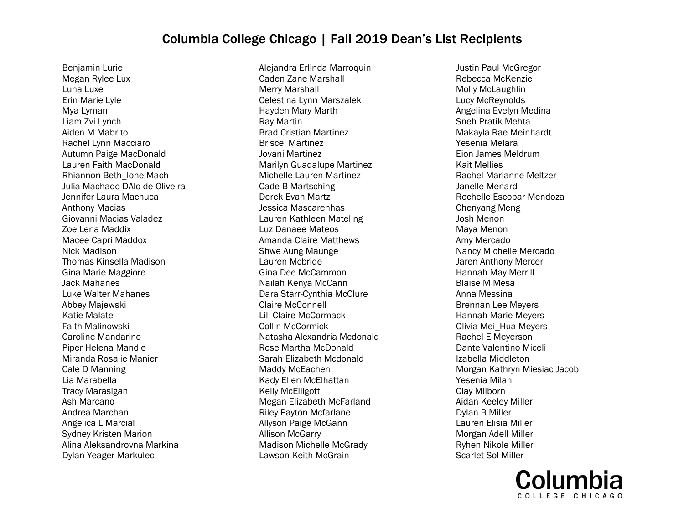Benjamin Lurie Megan Rylee Lux Luna Luxe Erin Marie Lyle Mya Lyman Liam Zvi Lynch Aiden M Mabrito Rachel Lynn Macciaro Autumn Paige MacDonald Lauren Faith MacDonald Rhiannon Beth\_Ione Mach Julia Machado DAlo de Oliveira Jennifer Laura Machuca Anthony Macias Giovanni Macias Valadez Zoe Lena Maddix Macee Capri Maddox Nick Madison Thomas Kinsella Madison Gina Marie Maggiore Jack Mahanes Luke Walter Mahanes Abbey Majewski Katie Malate Faith Malinowski Caroline Mandarino Piper Helena Mandle Miranda Rosalie Manier Cale D Manning Lia Marabella Tracy Marasigan Ash Marcano Andrea Marchan Angelica L Marcial Sydney Kristen Marion Alina Aleksandrovna Markina Dylan Yeager Markulec

Alejandra Erlinda Marroquin Caden Zane Marshall Merry Marshall Celestina Lynn Marszalek Hayden Mary Marth Ray Martin Brad Cristian Martinez Briscel Martinez Jovani Martinez Marilyn Guadalupe Martinez Michelle Lauren Martinez Cade B Martsching Derek Evan Martz Jessica Mascarenhas Lauren Kathleen Mateling Luz Danaee Mateos Amanda Claire Matthews Shwe Aung Maunge Lauren Mcbride Gina Dee McCammon Nailah Kenya McCann Dara Starr-Cynthia McClure Claire McConnell Lili Claire McCormack Collin McCormick Natasha Alexandria Mcdonald Rose Martha McDonald Sarah Elizabeth Mcdonald Maddy McEachen Kady Ellen McElhattan Kelly McElligott Megan Elizabeth McFarland Riley Payton Mcfarlane Allyson Paige McGann Allison McGarry Madison Michelle McGrady Lawson Keith McGrain

Justin Paul McGregor Rebecca McKenzie Molly McLaughlin Lucy McReynolds Angelina Evelyn Medina Sneh Pratik Mehta Makayla Rae Meinhardt Yesenia Melara Eion James Meldrum Kait Mellies Rachel Marianne Meltzer Janelle Menard Rochelle Escobar Mendoza Chenyang Meng Josh Menon Maya Menon Amy Mercado Nancy Michelle Mercado Jaren Anthony Mercer Hannah May Merrill Blaise M Mesa Anna Messina Brennan Lee Meyers Hannah Marie Meyers Olivia Mei\_Hua Meyers Rachel E Meyerson Dante Valentino Miceli Izabella Middleton Morgan Kathryn Miesiac Jacob Yesenia Milan Clay Milborn Aidan Keeley Miller Dylan B Miller Lauren Elisia Miller Morgan Adell Miller Ryhen Nikole Miller Scarlet Sol Miller

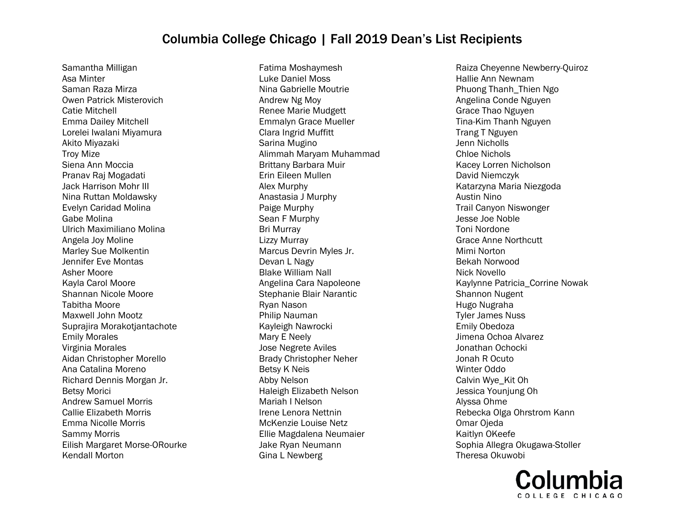Samantha Milligan Asa Minter Saman Raza Mirza Owen Patrick Misterovich Catie Mitchell Emma Dailey Mitchell Lorelei Iwalani Miyamura Akito Miyazaki Troy Mize Siena Ann Moccia Pranav Raj Mogadati Jack Harrison Mohr III Nina Ruttan Moldawsky Evelyn Caridad Molina Gabe Molina Ulrich Maximiliano Molina Angela Joy Moline Marley Sue Molkentin Jennifer Eve Montas Asher Moore Kayla Carol Moore Shannan Nicole Moore Tabitha Moore Maxwell John Mootz Suprajira Morakotjantachote Emily Morales Virginia Morales Aidan Christopher Morello Ana Catalina Moreno Richard Dennis Morgan Jr. Betsy Morici Andrew Samuel Morris Callie Elizabeth Morris Emma Nicolle Morris Sammy Morris Eilish Margaret Morse-ORourke Kendall Morton

Fatima Moshaymesh Luke Daniel Moss Nina Gabrielle Moutrie Andrew Ng Moy Renee Marie Mudgett Emmalyn Grace Mueller Clara Ingrid Muffitt Sarina Mugino Alimmah Maryam Muhammad Brittany Barbara Muir Erin Eileen Mullen Alex Murphy Anastasia J Murphy Paige Murphy Sean F Murphy Bri Murray Lizzy Murray Marcus Devrin Myles Jr. Devan L Nagy Blake William Nall Angelina Cara Napoleone Stephanie Blair Narantic Ryan Nason Philip Nauman Kayleigh Nawrocki Mary E Neely Jose Negrete Aviles Brady Christopher Neher Betsy K Neis Abby Nelson Haleigh Elizabeth Nelson Mariah I Nelson Irene Lenora Nettnin McKenzie Louise Netz Ellie Magdalena Neumaier Jake Ryan Neumann Gina L Newberg

Raiza Cheyenne Newberry-Quiroz Hallie Ann Newnam Phuong Thanh\_Thien Ngo Angelina Conde Nguyen Grace Thao Nguyen Tina-Kim Thanh Nguyen Trang T Nguyen Jenn Nicholls Chloe Nichols Kacey Lorren Nicholson David Niemczyk Katarzyna Maria Niezgoda Austin Nino Trail Canyon Niswonger Jesse Joe Noble Toni Nordone Grace Anne Northcutt Mimi Norton Bekah Norwood Nick Novello Kaylynne Patricia\_Corrine Nowak Shannon Nugent Hugo Nugraha Tyler James Nuss Emily Obedoza Jimena Ochoa Alvarez Jonathan Ochocki Jonah R Ocuto Winter Oddo Calvin Wye\_Kit Oh Jessica Younjung Oh Alyssa Ohme Rebecka Olga Ohrstrom Kann Omar Ojeda Kaitlyn OKeefe Sophia Allegra Okugawa-Stoller Theresa Okuwobi

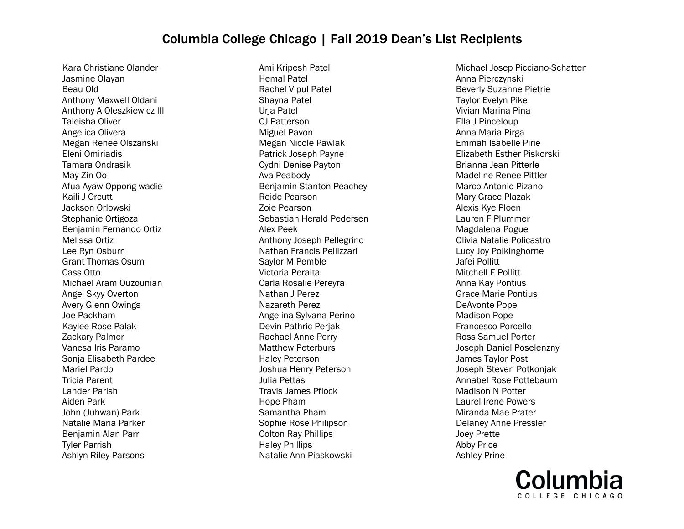Kara Christiane Olander Jasmine Olayan Beau Old Anthony Maxwell Oldani Anthony A Oleszkiewicz III Taleisha Oliver Angelica Olivera Megan Renee Olszanski Eleni Omiriadis Tamara Ondrasik May Zin Oo Afua Ayaw Oppong-wadie Kaili J Orcutt Jackson Orlowski Stephanie Ortigoza Benjamin Fernando Ortiz Melissa Ortiz Lee Ryn Osburn Grant Thomas Osum Cass Otto Michael Aram Ouzounian Angel Skyy Overton Avery Glenn Owings Joe Packham Kaylee Rose Palak Zackary Palmer Vanesa Iris Paramo Sonja Elisabeth Pardee Mariel Pardo Tricia Parent Lander Parish Aiden Park John (Juhwan) Park Natalie Maria Parker Benjamin Alan Parr Tyler Parrish Ashlyn Riley Parsons

Ami Kripesh Patel Hemal Patel Rachel Vipul Patel Shayna Patel Urja Patel CJ Patterson Miguel Pavon Megan Nicole Pawlak Patrick Joseph Payne Cydni Denise Payton Ava Peabody Benjamin Stanton Peachey Reide Pearson Zoie Pearson Sebastian Herald Pedersen Alex Peek Anthony Joseph Pellegrino Nathan Francis Pellizzari Saylor M Pemble Victoria Peralta Carla Rosalie Pereyra Nathan J Perez Nazareth Perez Angelina Sylvana Perino Devin Pathric Perjak Rachael Anne Perry Matthew Peterburs Haley Peterson Joshua Henry Peterson Julia Pettas Travis James Pflock Hope Pham Samantha Pham Sophie Rose Philipson Colton Ray Phillips Haley Phillips Natalie Ann Piaskowski

Michael Josep Picciano-Schatten Anna Pierczynski Beverly Suzanne Pietrie Taylor Evelyn Pike Vivian Marina Pina Ella J Pinceloup Anna Maria Pirga Emmah Isabelle Pirie Elizabeth Esther Piskorski Brianna Jean Pitterle Madeline Renee Pittler Marco Antonio Pizano Mary Grace Plazak Alexis Kye Ploen Lauren F Plummer Magdalena Pogue Olivia Natalie Policastro Lucy Joy Polkinghorne Jafei Pollitt Mitchell E Pollitt Anna Kay Pontius Grace Marie Pontius DeAvonte Pope Madison Pope Francesco Porcello Ross Samuel Porter Joseph Daniel Poselenzny James Taylor Post Joseph Steven Potkonjak Annabel Rose Pottebaum Madison N Potter Laurel Irene Powers Miranda Mae Prater Delaney Anne Pressler Joey Prette Abby Price Ashley Prine

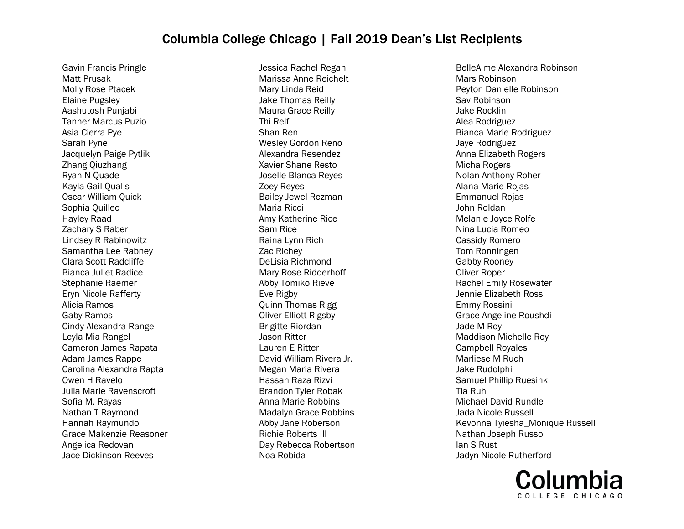Gavin Francis Pringle Matt Prusak Molly Rose Ptacek Elaine Pugsley Aashutosh Punjabi Tanner Marcus Puzio Asia Cierra Pye Sarah Pyne Jacquelyn Paige Pytlik Zhang Qiuzhang Ryan N Quade Kayla Gail Qualls Oscar William Quick Sophia Quillec Hayley Raad Zachary S Raber Lindsey R Rabinowitz Samantha Lee Rabney Clara Scott Radcliffe Bianca Juliet Radice Stephanie Raemer Eryn Nicole Rafferty Alicia Ramos Gaby Ramos Cindy Alexandra Rangel Leyla Mia Rangel Cameron James Rapata Adam James Rappe Carolina Alexandra Rapta Owen H Ravelo Julia Marie Ravenscroft Sofia M. Rayas Nathan T Raymond Hannah Raymundo Grace Makenzie Reasoner Angelica Redovan Jace Dickinson Reeves

Jessica Rachel Regan Marissa Anne Reichelt Mary Linda Reid Jake Thomas Reilly Maura Grace Reilly Thi Relf Shan Ren Wesley Gordon Reno Alexandra Resendez Xavier Shane Resto Joselle Blanca Reyes Zoey Reyes Bailey Jewel Rezman Maria Ricci Amy Katherine Rice Sam Rice Raina Lynn Rich Zac Richey DeLisia Richmond Mary Rose Ridderhoff Abby Tomiko Rieve Eve Rigby Quinn Thomas Rigg Oliver Elliott Rigsby Brigitte Riordan Jason Ritter Lauren E Ritter David William Rivera Jr. Megan Maria Rivera Hassan Raza Rizvi Brandon Tyler Robak Anna Marie Robbins Madalyn Grace Robbins Abby Jane Roberson Richie Roberts III Day Rebecca Robertson Noa Robida

BelleAime Alexandra Robinson Mars Robinson Peyton Danielle Robinson Sav Robinson Jake Rocklin Alea Rodriguez Bianca Marie Rodriguez Jaye Rodriguez Anna Elizabeth Rogers Micha Rogers Nolan Anthony Roher Alana Marie Rojas Emmanuel Rojas John Roldan Melanie Joyce Rolfe Nina Lucia Romeo Cassidy Romero Tom Ronningen Gabby Rooney Oliver Roper Rachel Emily Rosewater Jennie Elizabeth Ross Emmy Rossini Grace Angeline Roushdi Jade M Roy Maddison Michelle Roy Campbell Royales Marliese M Ruch Jake Rudolphi Samuel Phillip Ruesink Tia Ruh Michael David Rundle Jada Nicole Russell Kevonna Tyiesha\_Monique Russell Nathan Joseph Russo Ian S Rust Jadyn Nicole Rutherford

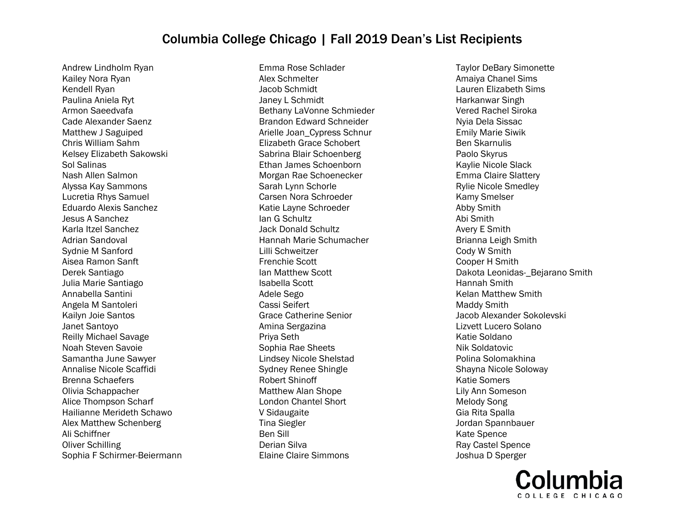Andrew Lindholm Ryan Kailey Nora Ryan Kendell Ryan Paulina Aniela Ryt Armon Saeedvafa Cade Alexander Saenz Matthew J Saguiped Chris William Sahm Kelsey Elizabeth Sakowski Sol Salinas Nash Allen Salmon Alyssa Kay Sammons Lucretia Rhys Samuel Eduardo Alexis Sanchez Jesus A Sanchez Karla Itzel Sanchez Adrian Sandoval Sydnie M Sanford Aisea Ramon Sanft Derek Santiago Julia Marie Santiago Annabella Santini Angela M Santoleri Kailyn Joie Santos Janet Santoyo Reilly Michael Savage Noah Steven Savoie Samantha June Sawyer Annalise Nicole Scaffidi Brenna Schaefers Olivia Schappacher Alice Thompson Scharf Hailianne Merideth Schawo Alex Matthew Schenberg Ali Schiffner Oliver Schilling Sophia F Schirmer-Beiermann

Emma Rose Schlader Alex Schmelter Jacob Schmidt Janey L Schmidt Bethany LaVonne Schmieder Brandon Edward Schneider Arielle Joan\_Cypress Schnur Elizabeth Grace Schobert Sabrina Blair Schoenberg Ethan James Schoenborn Morgan Rae Schoenecker Sarah Lynn Schorle Carsen Nora Schroeder Katie Layne Schroeder Ian G Schultz Jack Donald Schultz Hannah Marie Schumacher Lilli Schweitzer Frenchie Scott Ian Matthew Scott Isabella Scott Adele Sego Cassi Seifert Grace Catherine Senior Amina Sergazina Priya Seth Sophia Rae Sheets Lindsey Nicole Shelstad Sydney Renee Shingle Robert Shinoff Matthew Alan Shope London Chantel Short V Sidaugaite Tina Siegler Ben Sill Derian Silva Elaine Claire Simmons

Taylor DeBary Simonette Amaiya Chanel Sims Lauren Elizabeth Sims Harkanwar Singh Vered Rachel Siroka Nyia Dela Sissac Emily Marie Siwik Ben Skarnulis Paolo Skyrus Kaylie Nicole Slack Emma Claire Slattery Rylie Nicole Smedley Kamy Smelser Abby Smith Abi Smith Avery E Smith Brianna Leigh Smith Cody W Smith Cooper H Smith Dakota Leonidas- Bejarano Smith Hannah Smith Kelan Matthew Smith Maddy Smith Jacob Alexander Sokolevski Lizvett Lucero Solano Katie Soldano Nik Soldatovic Polina Solomakhina Shayna Nicole Soloway Katie Somers Lily Ann Someson Melody Song Gia Rita Spalla Jordan Spannbauer Kate Spence Ray Castel Spence Joshua D Sperger

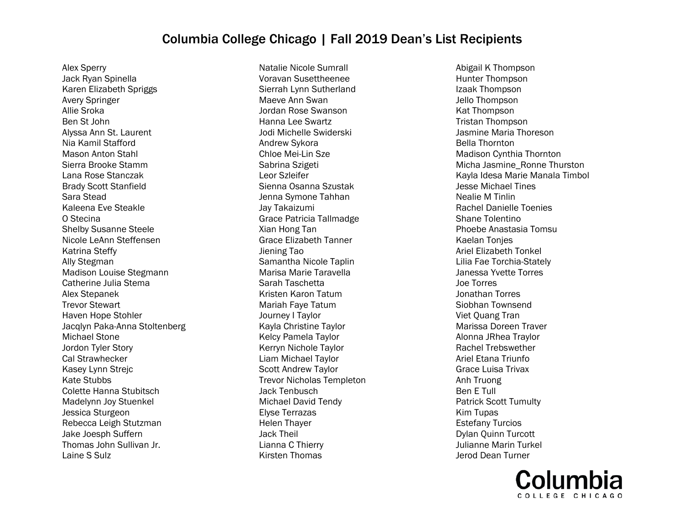Alex Sperry Jack Ryan Spinella Karen Elizabeth Spriggs Avery Springer Allie Sroka Ben St John Alyssa Ann St. Laurent Nia Kamil Stafford Mason Anton Stahl Sierra Brooke Stamm Lana Rose Stanczak Brady Scott Stanfield Sara Stead Kaleena Eve Steakle O Stecina Shelby Susanne Steele Nicole LeAnn Steffensen Katrina Steffy Ally Stegman Madison Louise Stegmann Catherine Julia Stema Alex Stepanek Trevor Stewart Haven Hope Stohler Jacqlyn Paka-Anna Stoltenberg Michael Stone Jordon Tyler Story Cal Strawhecker Kasey Lynn Strejc Kate Stubbs Colette Hanna Stubitsch Madelynn Joy Stuenkel Jessica Sturgeon Rebecca Leigh Stutzman Jake Joesph Suffern Thomas John Sullivan Jr. Laine S Sulz

Natalie Nicole Sumrall Voravan Susettheenee Sierrah Lynn Sutherland Maeve Ann Swan Jordan Rose Swanson Hanna Lee Swartz Jodi Michelle Swiderski Andrew Sykora Chloe Mei-Lin Sze Sabrina Szigeti Leor Szleifer Sienna Osanna Szustak Jenna Symone Tahhan Jay Takaizumi Grace Patricia Tallmadge Xian Hong Tan Grace Elizabeth Tanner Jiening Tao Samantha Nicole Taplin Marisa Marie Taravella Sarah Taschetta Kristen Karon Tatum Mariah Faye Tatum Journey I Taylor Kayla Christine Taylor Kelcy Pamela Taylor Kerryn Nichole Taylor Liam Michael Taylor Scott Andrew Taylor Trevor Nicholas Templeton Jack Tenbusch Michael David Tendy Elyse Terrazas Helen Thayer Jack Theil Lianna C Thierry Kirsten Thomas

Abigail K Thompson Hunter Thompson Izaak Thompson Jello Thompson Kat Thompson Tristan Thompson Jasmine Maria Thoreson Bella Thornton Madison Cynthia Thornton Micha Jasmine\_Ronne Thurston Kayla Idesa Marie Manala Timbol Jesse Michael Tines Nealie M Tinlin Rachel Danielle Toenies Shane Tolentino Phoebe Anastasia Tomsu Kaelan Tonjes Ariel Elizabeth Tonkel Lilia Fae Torchia-Stately Janessa Yvette Torres Joe Torres Jonathan Torres Siobhan Townsend Viet Quang Tran Marissa Doreen Traver Alonna JRhea Traylor Rachel Trebswether Ariel Etana Triunfo Grace Luisa Trivax Anh Truong Ben E Tull Patrick Scott Tumulty Kim Tupas Estefany Turcios Dylan Quinn Turcott Julianne Marin Turkel Jerod Dean Turner

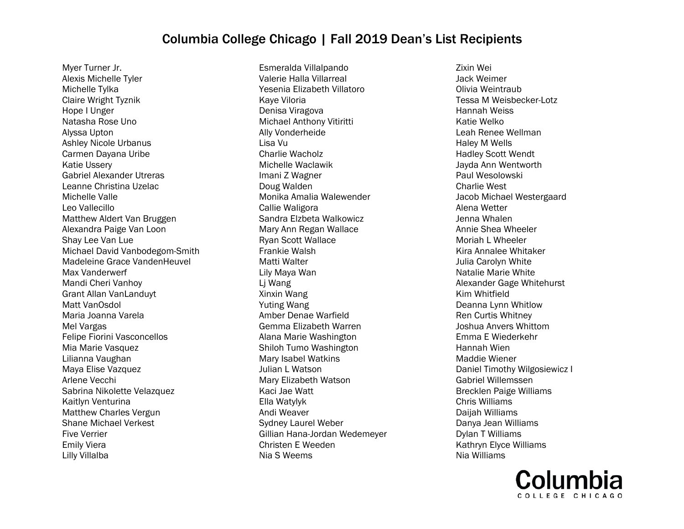Myer Turner Jr. Alexis Michelle Tyler Michelle Tylka Claire Wright Tyznik Hope I Unger Natasha Rose Uno Alyssa Upton Ashley Nicole Urbanus Carmen Dayana Uribe Katie Ussery Gabriel Alexander Utreras Leanne Christina Uzelac Michelle Valle Leo Vallecillo Matthew Aldert Van Bruggen Alexandra Paige Van Loon Shay Lee Van Lue Michael David Vanbodegom-Smith Madeleine Grace VandenHeuvel Max Vanderwerf Mandi Cheri Vanhoy Grant Allan VanLanduyt Matt VanOsdol Maria Joanna Varela Mel Vargas Felipe Fiorini Vasconcellos Mia Marie Vasquez Lilianna Vaughan Maya Elise Vazquez Arlene Vecchi Sabrina Nikolette Velazquez Kaitlyn Venturina Matthew Charles Vergun Shane Michael Verkest Five Verrier Emily Viera Lilly Villalba

Esmeralda Villalpando Valerie Halla Villarreal Yesenia Elizabeth Villatoro Kaye Viloria Denisa Viragova Michael Anthony Vitiritti Ally Vonderheide Lisa Vu Charlie Wacholz Michelle Waclawik Imani Z Wagner Doug Walden Monika Amalia Walewender Callie Waligora Sandra Elzbeta Walkowicz Mary Ann Regan Wallace Ryan Scott Wallace Frankie Walsh Matti Walter Lily Maya Wan Lj Wang Xinxin Wang Yuting Wang Amber Denae Warfield Gemma Elizabeth Warren Alana Marie Washington Shiloh Tumo Washington Mary Isabel Watkins Julian L Watson Mary Elizabeth Watson Kaci Jae Watt Ella Watylyk Andi Weaver Sydney Laurel Weber Gillian Hana-Jordan Wedemeyer Christen E Weeden Nia S Weems

Zixin Wei Jack Weimer Olivia Weintraub Tessa M Weisbecker-Lotz Hannah Weiss Katie Welko Leah Renee Wellman Haley M Wells Hadley Scott Wendt Jayda Ann Wentworth Paul Wesolowski Charlie West Jacob Michael Westergaard Alena Wetter Jenna Whalen Annie Shea Wheeler Moriah L Wheeler Kira Annalee Whitaker Julia Carolyn White Natalie Marie White Alexander Gage Whitehurst Kim Whitfield Deanna Lynn Whitlow Ren Curtis Whitney Joshua Anvers Whittom Emma E Wiederkehr Hannah Wien Maddie Wiener Daniel Timothy Wilgosiewicz I Gabriel Willemssen Brecklen Paige Williams Chris Williams Daijah Williams Danya Jean Williams Dylan T Williams Kathryn Elyce Williams Nia Williams